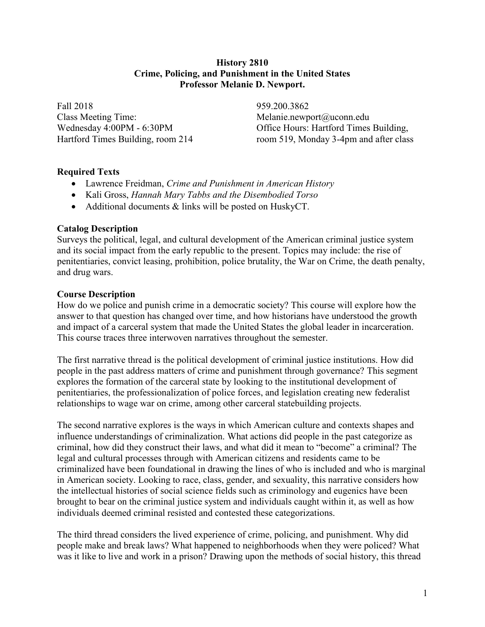#### **History 2810 Crime, Policing, and Punishment in the United States Professor Melanie D. Newport.**

Fall 2018 Class Meeting Time: Wednesday 4:00PM - 6:30PM Hartford Times Building, room 214 959.200.3862 Melanie.newport@uconn.edu Office Hours: Hartford Times Building, room 519, Monday 3-4pm and after class

### **Required Texts**

- Lawrence Freidman, *Crime and Punishment in American History*
- Kali Gross, *Hannah Mary Tabbs and the Disembodied Torso*
- Additional documents & links will be posted on HuskyCT.

### **Catalog Description**

Surveys the political, legal, and cultural development of the American criminal justice system and its social impact from the early republic to the present. Topics may include: the rise of penitentiaries, convict leasing, prohibition, police brutality, the War on Crime, the death penalty, and drug wars.

### **Course Description**

How do we police and punish crime in a democratic society? This course will explore how the answer to that question has changed over time, and how historians have understood the growth and impact of a carceral system that made the United States the global leader in incarceration. This course traces three interwoven narratives throughout the semester.

The first narrative thread is the political development of criminal justice institutions. How did people in the past address matters of crime and punishment through governance? This segment explores the formation of the carceral state by looking to the institutional development of penitentiaries, the professionalization of police forces, and legislation creating new federalist relationships to wage war on crime, among other carceral statebuilding projects.

The second narrative explores is the ways in which American culture and contexts shapes and influence understandings of criminalization. What actions did people in the past categorize as criminal, how did they construct their laws, and what did it mean to "become" a criminal? The legal and cultural processes through with American citizens and residents came to be criminalized have been foundational in drawing the lines of who is included and who is marginal in American society. Looking to race, class, gender, and sexuality, this narrative considers how the intellectual histories of social science fields such as criminology and eugenics have been brought to bear on the criminal justice system and individuals caught within it, as well as how individuals deemed criminal resisted and contested these categorizations.

The third thread considers the lived experience of crime, policing, and punishment. Why did people make and break laws? What happened to neighborhoods when they were policed? What was it like to live and work in a prison? Drawing upon the methods of social history, this thread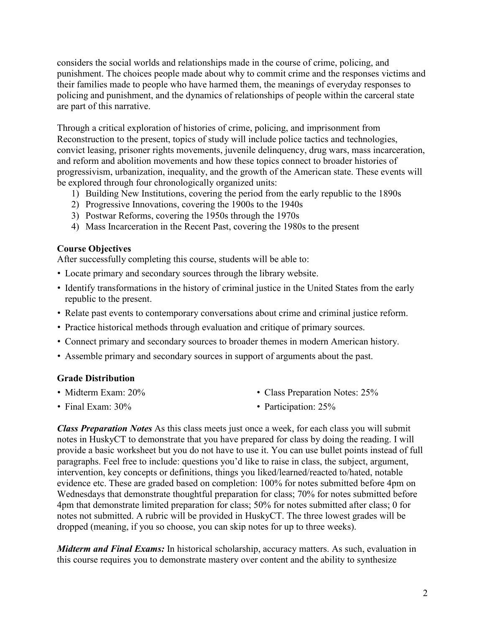considers the social worlds and relationships made in the course of crime, policing, and punishment. The choices people made about why to commit crime and the responses victims and their families made to people who have harmed them, the meanings of everyday responses to policing and punishment, and the dynamics of relationships of people within the carceral state are part of this narrative.

Through a critical exploration of histories of crime, policing, and imprisonment from Reconstruction to the present, topics of study will include police tactics and technologies, convict leasing, prisoner rights movements, juvenile delinquency, drug wars, mass incarceration, and reform and abolition movements and how these topics connect to broader histories of progressivism, urbanization, inequality, and the growth of the American state. These events will be explored through four chronologically organized units:

- 1) Building New Institutions, covering the period from the early republic to the 1890s
- 2) Progressive Innovations, covering the 1900s to the 1940s
- 3) Postwar Reforms, covering the 1950s through the 1970s
- 4) Mass Incarceration in the Recent Past, covering the 1980s to the present

## **Course Objectives**

After successfully completing this course, students will be able to:

- Locate primary and secondary sources through the library website.
- Identify transformations in the history of criminal justice in the United States from the early republic to the present.
- Relate past events to contemporary conversations about crime and criminal justice reform.
- Practice historical methods through evaluation and critique of primary sources.
- Connect primary and secondary sources to broader themes in modern American history.
- Assemble primary and secondary sources in support of arguments about the past.

### **Grade Distribution**

• Midterm Exam: 20%

• Class Preparation Notes: 25%

• Final Exam:  $30\%$ 

• Participation: 25%

*Class Preparation Notes* As this class meets just once a week, for each class you will submit notes in HuskyCT to demonstrate that you have prepared for class by doing the reading. I will provide a basic worksheet but you do not have to use it. You can use bullet points instead of full paragraphs. Feel free to include: questions you'd like to raise in class, the subject, argument, intervention, key concepts or definitions, things you liked/learned/reacted to/hated, notable evidence etc. These are graded based on completion: 100% for notes submitted before 4pm on Wednesdays that demonstrate thoughtful preparation for class; 70% for notes submitted before 4pm that demonstrate limited preparation for class; 50% for notes submitted after class; 0 for notes not submitted. A rubric will be provided in HuskyCT. The three lowest grades will be dropped (meaning, if you so choose, you can skip notes for up to three weeks).

*Midterm and Final Exams:* In historical scholarship, accuracy matters. As such, evaluation in this course requires you to demonstrate mastery over content and the ability to synthesize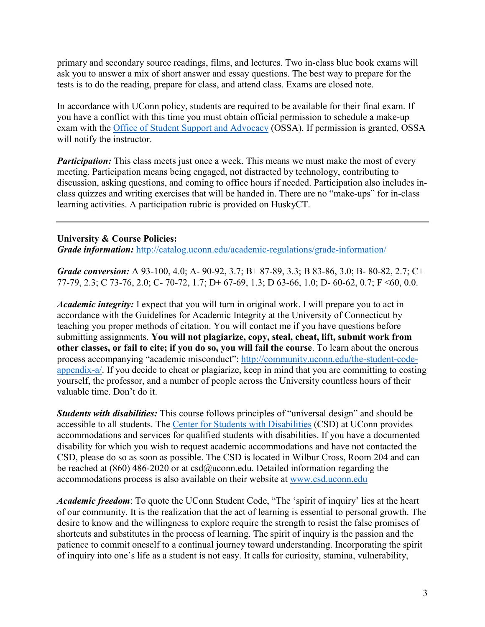primary and secondary source readings, films, and lectures. Two in-class blue book exams will ask you to answer a mix of short answer and essay questions. The best way to prepare for the tests is to do the reading, prepare for class, and attend class. Exams are closed note.

In accordance with UConn policy, students are required to be available for their final exam. If you have a conflict with this time you must obtain official permission to schedule a make-up exam with the Office of Student Support and [Advocacy](http://www.ossa.uconn.edu/) (OSSA). If permission is granted, OSSA will notify the instructor.

*Participation:* This class meets just once a week. This means we must make the most of every meeting. Participation means being engaged, not distracted by technology, contributing to discussion, asking questions, and coming to office hours if needed. Participation also includes inclass quizzes and writing exercises that will be handed in. There are no "make-ups" for in-class learning activities. A participation rubric is provided on HuskyCT.

#### **University & Course Policies:**

*Grade information:* <http://catalog.uconn.edu/academic-regulations/grade-information/>

*Grade conversion:* A 93-100, 4.0; A- 90-92, 3.7; B+ 87-89, 3.3; B 83-86, 3.0; B- 80-82, 2.7; C+ 77-79, 2.3; C 73-76, 2.0; C- 70-72, 1.7; D+ 67-69, 1.3; D 63-66, 1.0; D- 60-62, 0.7; F <60, 0.0.

*Academic integrity:* I expect that you will turn in original work. I will prepare you to act in accordance with the Guidelines for Academic Integrity at the University of Connecticut by teaching you proper methods of citation. You will contact me if you have questions before submitting assignments. **You will not plagiarize, copy, steal, cheat, lift, submit work from other classes, or fail to cite; if you do so, you will fail the course**. To learn about the onerous process accompanying "academic misconduct": [http://community.uconn.edu/the-student-code](http://community.uconn.edu/the-student-code-appendix-a/)[appendix-a/.](http://community.uconn.edu/the-student-code-appendix-a/) If you decide to cheat or plagiarize, keep in mind that you are committing to costing yourself, the professor, and a number of people across the University countless hours of their valuable time. Don't do it.

*Students with disabilities:* This course follows principles of "universal design" and should be accessible to all students. The Center for Students with [Disabilities](http://www.csd.uconn.edu/) (CSD) at UConn provides accommodations and services for qualified students with disabilities. If you have a documented disability for which you wish to request academic accommodations and have not contacted the CSD, please do so as soon as possible. The CSD is located in Wilbur Cross, Room 204 and can be reached at (860) 486-2020 or at  $csd@uconn.edu$ . Detailed information regarding the accommodations process is also available on their website at [www.csd.uconn.edu](http://www.csd.uconn.edu/)

*Academic freedom*: To quote the UConn Student Code, "The 'spirit of inquiry' lies at the heart of our community. It is the realization that the act of learning is essential to personal growth. The desire to know and the willingness to explore require the strength to resist the false promises of shortcuts and substitutes in the process of learning. The spirit of inquiry is the passion and the patience to commit oneself to a continual journey toward understanding. Incorporating the spirit of inquiry into one's life as a student is not easy. It calls for curiosity, stamina, vulnerability,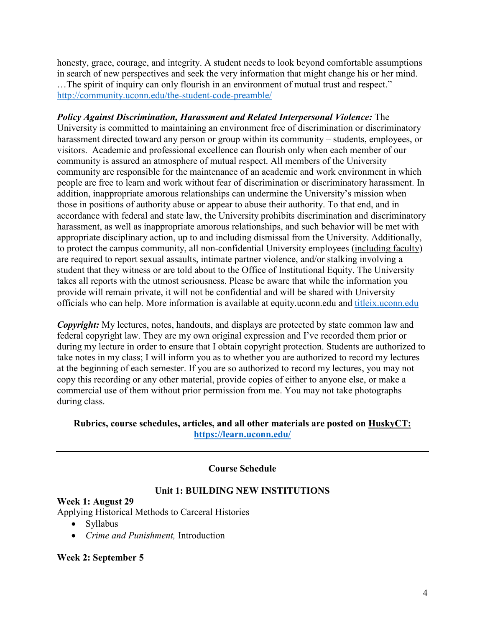honesty, grace, courage, and integrity. A student needs to look beyond comfortable assumptions in search of new perspectives and seek the very information that might change his or her mind. …The spirit of inquiry can only flourish in an environment of mutual trust and respect." <http://community.uconn.edu/the-student-code-preamble/>

*Policy Against Discrimination, Harassment and Related Interpersonal Violence:* The University is committed to maintaining an environment free of discrimination or discriminatory harassment directed toward any person or group within its community – students, employees, or visitors. Academic and professional excellence can flourish only when each member of our community is assured an atmosphere of mutual respect. All members of the University community are responsible for the maintenance of an academic and work environment in which people are free to learn and work without fear of discrimination or discriminatory harassment. In addition, inappropriate amorous relationships can undermine the University's mission when those in positions of authority abuse or appear to abuse their authority. To that end, and in accordance with federal and state law, the University prohibits discrimination and discriminatory harassment, as well as inappropriate amorous relationships, and such behavior will be met with appropriate disciplinary action, up to and including dismissal from the University. Additionally, to protect the campus community, all non-confidential University employees (including faculty) are required to report sexual assaults, intimate partner violence, and/or stalking involving a student that they witness or are told about to the Office of Institutional Equity. The University takes all reports with the utmost seriousness. Please be aware that while the information you provide will remain private, it will not be confidential and will be shared with University officials who can help. More information is available at equity.uconn.edu and [titleix.uconn.edu](http://titleix.uconn.edu/)

*Copyright:* My lectures, notes, handouts, and displays are protected by state common law and federal copyright law. They are my own original expression and I've recorded them prior or during my lecture in order to ensure that I obtain copyright protection. Students are authorized to take notes in my class; I will inform you as to whether you are authorized to record my lectures at the beginning of each semester. If you are so authorized to record my lectures, you may not copy this recording or any other material, provide copies of either to anyone else, or make a commercial use of them without prior permission from me. You may not take photographs during class.

## **Rubrics, course schedules, articles, and all other materials are posted on HuskyCT: <https://learn.uconn.edu/>**

### **Course Schedule**

### **Unit 1: BUILDING NEW INSTITUTIONS**

**Week 1: August 29** Applying Historical Methods to Carceral Histories

- Syllabus
- *Crime and Punishment,* Introduction

### **Week 2: September 5**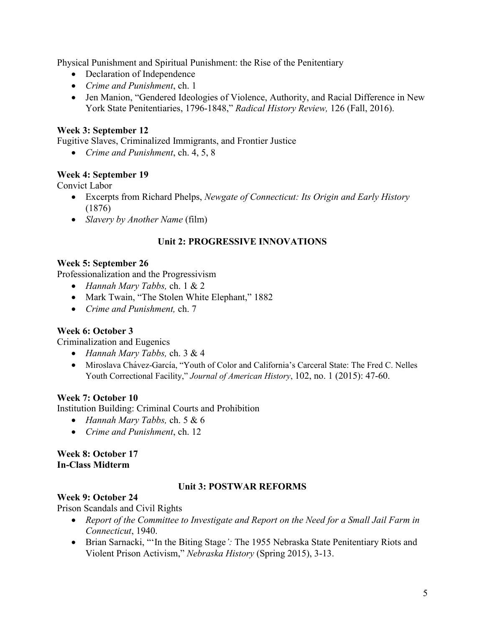Physical Punishment and Spiritual Punishment: the Rise of the Penitentiary

- Declaration of Independence
- *Crime and Punishment*, ch. 1
- Jen Manion, "Gendered Ideologies of Violence, Authority, and Racial Difference in New York State Penitentiaries, 1796-1848," *Radical History Review,* 126 (Fall, 2016).

# **Week 3: September 12**

Fugitive Slaves, Criminalized Immigrants, and Frontier Justice

*Crime and Punishment*, ch. 4, 5, 8

### **Week 4: September 19**

Convict Labor

- Excerpts from Richard Phelps, *Newgate of Connecticut: Its Origin and Early History* (1876)
- *Slavery by Another Name* (film)

### **Unit 2: PROGRESSIVE INNOVATIONS**

### **Week 5: September 26**

Professionalization and the Progressivism

- *Hannah Mary Tabbs,* ch. 1 & 2
- Mark Twain, "The Stolen White Elephant," 1882
- *Crime and Punishment,* ch. 7

### **Week 6: October 3**

Criminalization and Eugenics

- *Hannah Mary Tabbs,* ch. 3 & 4
- Miroslava Chávez-García, "Youth of Color and California's Carceral State: The Fred C. Nelles Youth Correctional Facility," *Journal of American History*, 102, no. 1 (2015): 47-60.

### **Week 7: October 10**

Institution Building: Criminal Courts and Prohibition

- *Hannah Mary Tabbs,* ch. 5 & 6
- *Crime and Punishment*, ch. 12

#### **Week 8: October 17 In-Class Midterm**

### **Unit 3: POSTWAR REFORMS**

### **Week 9: October 24**

Prison Scandals and Civil Rights

- *Report of the Committee to Investigate and Report on the Need for a Small Jail Farm in Connecticut*, 1940.
- Brian Sarnacki, "'In the Biting Stage*':* The 1955 Nebraska State Penitentiary Riots and Violent Prison Activism," *Nebraska History* (Spring 2015), 3-13.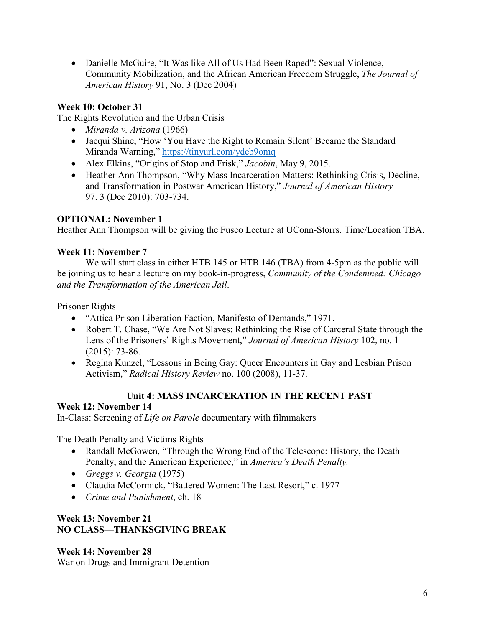• Danielle McGuire, "It Was like All of Us Had Been Raped": Sexual Violence, Community Mobilization, and the African American Freedom Struggle, *The Journal of American History* 91, No. 3 (Dec 2004)

# **Week 10: October 31**

The Rights Revolution and the Urban Crisis

- *Miranda v. Arizona* (1966)
- Jacqui Shine, "How 'You Have the Right to Remain Silent' Became the Standard Miranda Warning," <https://tinyurl.com/ydeb9omq>
- Alex Elkins, "Origins of Stop and Frisk," *Jacobin*, May 9, 2015.
- Heather Ann Thompson, "Why Mass Incarceration Matters: Rethinking Crisis, Decline, and Transformation in Postwar American History," *Journal of American History* 97. 3 (Dec 2010): 703-734.

## **OPTIONAL: November 1**

Heather Ann Thompson will be giving the Fusco Lecture at UConn-Storrs. Time/Location TBA.

## **Week 11: November 7**

We will start class in either HTB 145 or HTB 146 (TBA) from 4-5pm as the public will be joining us to hear a lecture on my book-in-progress, *Community of the Condemned: Chicago and the Transformation of the American Jail*.

Prisoner Rights

- "Attica Prison Liberation Faction, Manifesto of Demands," 1971.
- Robert T. Chase, "We Are Not Slaves: Rethinking the Rise of Carceral State through the Lens of the Prisoners' Rights Movement," *Journal of American History* 102, no. 1 (2015): 73-86.
- Regina Kunzel, "Lessons in Being Gay: Queer Encounters in Gay and Lesbian Prison Activism," *Radical History Review* no. 100 (2008), 11-37.

# **Unit 4: MASS INCARCERATION IN THE RECENT PAST**

# **Week 12: November 14**

In-Class: Screening of *Life on Parole* documentary with filmmakers

The Death Penalty and Victims Rights

- Randall McGowen, "Through the Wrong End of the Telescope: History, the Death Penalty, and the American Experience," in *America's Death Penalty.*
- *Greggs v. Georgia* (1975)
- Claudia McCormick, "Battered Women: The Last Resort," c. 1977
- *Crime and Punishment*, ch. 18

## **Week 13: November 21 NO CLASS—THANKSGIVING BREAK**

**Week 14: November 28** War on Drugs and Immigrant Detention